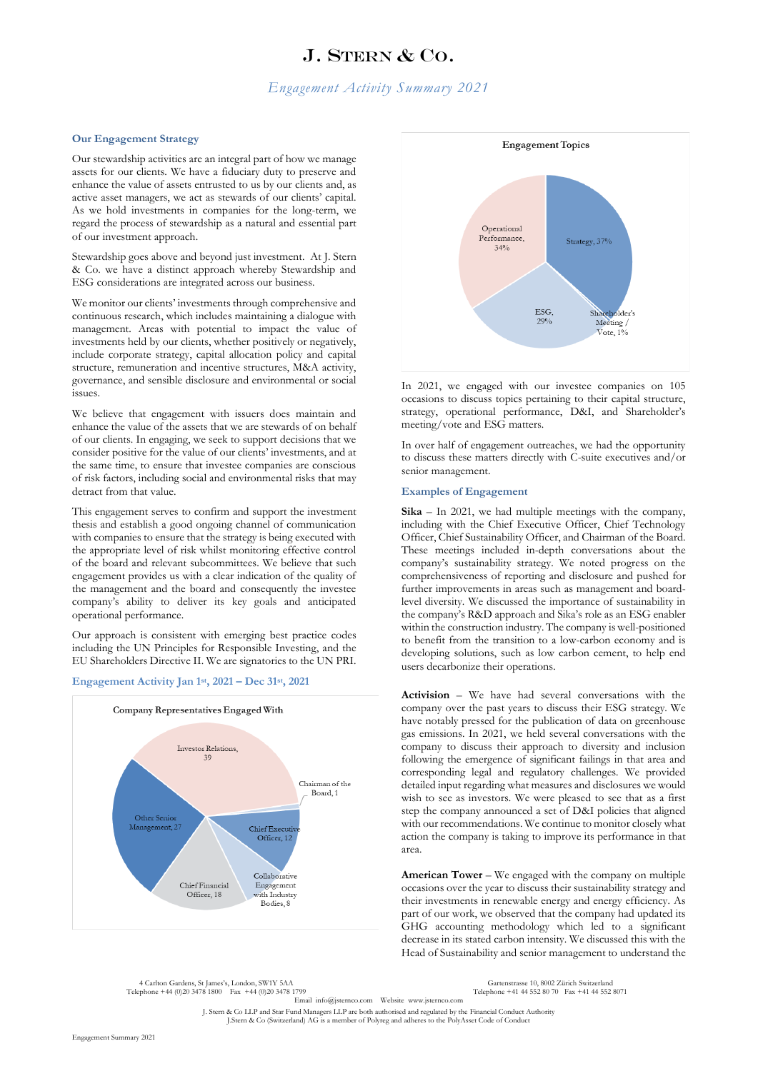# J. STERN & CO.

## *Engagement Activity Summary 2021*

#### **Our Engagement Strategy**

Our stewardship activities are an integral part of how we manage assets for our clients. We have a fiduciary duty to preserve and enhance the value of assets entrusted to us by our clients and, as active asset managers, we act as stewards of our clients' capital. As we hold investments in companies for the long-term, we regard the process of stewardship as a natural and essential part of our investment approach.

Stewardship goes above and beyond just investment. At J. Stern & Co. we have a distinct approach whereby Stewardship and ESG considerations are integrated across our business.

We monitor our clients' investments through comprehensive and continuous research, which includes maintaining a dialogue with management. Areas with potential to impact the value of investments held by our clients, whether positively or negatively, include corporate strategy, capital allocation policy and capital structure, remuneration and incentive structures, M&A activity, governance, and sensible disclosure and environmental or social issues.

We believe that engagement with issuers does maintain and enhance the value of the assets that we are stewards of on behalf of our clients. In engaging, we seek to support decisions that we consider positive for the value of our clients' investments, and at the same time, to ensure that investee companies are conscious of risk factors, including social and environmental risks that may detract from that value.

This engagement serves to confirm and support the investment thesis and establish a good ongoing channel of communication with companies to ensure that the strategy is being executed with the appropriate level of risk whilst monitoring effective control of the board and relevant subcommittees. We believe that such engagement provides us with a clear indication of the quality of the management and the board and consequently the investee company's ability to deliver its key goals and anticipated operational performance.

Our approach is consistent with emerging best practice codes including the UN Principles for Responsible Investing, and the EU Shareholders Directive II. We are signatories to the UN PRI.

#### **Engagement Activity Jan 1st, 2021 – Dec 31st, 2021**





In 2021, we engaged with our investee companies on 105 occasions to discuss topics pertaining to their capital structure, strategy, operational performance, D&I, and Shareholder's meeting/vote and ESG matters.

In over half of engagement outreaches, we had the opportunity to discuss these matters directly with C-suite executives and/or senior management.

#### **Examples of Engagement**

**Sika** – In 2021, we had multiple meetings with the company, including with the Chief Executive Officer, Chief Technology Officer, Chief Sustainability Officer, and Chairman of the Board. These meetings included in-depth conversations about the company's sustainability strategy. We noted progress on the comprehensiveness of reporting and disclosure and pushed for further improvements in areas such as management and boardlevel diversity. We discussed the importance of sustainability in the company's R&D approach and Sika's role as an ESG enabler within the construction industry. The company is well-positioned to benefit from the transition to a low-carbon economy and is developing solutions, such as low carbon cement, to help end users decarbonize their operations.

**Activision** – We have had several conversations with the company over the past years to discuss their ESG strategy. We have notably pressed for the publication of data on greenhouse gas emissions. In 2021, we held several conversations with the company to discuss their approach to diversity and inclusion following the emergence of significant failings in that area and corresponding legal and regulatory challenges. We provided detailed input regarding what measures and disclosures we would wish to see as investors. We were pleased to see that as a first step the company announced a set of D&I policies that aligned with our recommendations. We continue to monitor closely what action the company is taking to improve its performance in that area.

**American Tower** – We engaged with the company on multiple occasions over the year to discuss their sustainability strategy and their investments in renewable energy and energy efficiency. As part of our work, we observed that the company had updated its GHG accounting methodology which led to a significant decrease in its stated carbon intensity. We discussed this with the Head of Sustainability and senior management to understand the

4 Carlton Gardens, St James's, London, SW1Y 5AA Gartenstrasse 10, 8002 Zürich Switzerland Telephone +44 (0)20 3478 1800 Fax +44 (0)20 3478 1799

Email info@jsternco.com Website www.jsternco.com

J. Stern & Co LLP and Star Fund Managers LLP are both authorised and regulated by the Financial Conduct Authority J.Stern & Co (Switzerland) AG is a member of Polyreg and adheres to the PolyAsset Code of Conduct